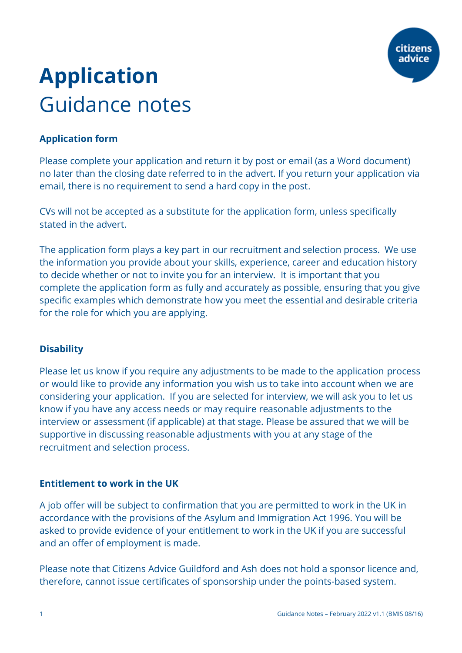

# **Application**  Guidance notes

# **Application form**

Please complete your application and return it by post or email (as a Word document) no later than the closing date referred to in the advert. If you return your application via email, there is no requirement to send a hard copy in the post.

CVs will not be accepted as a substitute for the application form, unless specifically stated in the advert.

The application form plays a key part in our recruitment and selection process. We use the information you provide about your skills, experience, career and education history to decide whether or not to invite you for an interview. It is important that you complete the application form as fully and accurately as possible, ensuring that you give specific examples which demonstrate how you meet the essential and desirable criteria for the role for which you are applying.

## **Disability**

Please let us know if you require any adjustments to be made to the application process or would like to provide any information you wish us to take into account when we are considering your application. If you are selected for interview, we will ask you to let us know if you have any access needs or may require reasonable adjustments to the interview or assessment (if applicable) at that stage. Please be assured that we will be supportive in discussing reasonable adjustments with you at any stage of the recruitment and selection process.

## **Entitlement to work in the UK**

A job offer will be subject to confirmation that you are permitted to work in the UK in accordance with the provisions of the Asylum and Immigration Act 1996. You will be asked to provide evidence of your entitlement to work in the UK if you are successful and an offer of employment is made.

Please note that Citizens Advice Guildford and Ash does not hold a sponsor licence and, therefore, cannot issue certificates of sponsorship under the points-based system.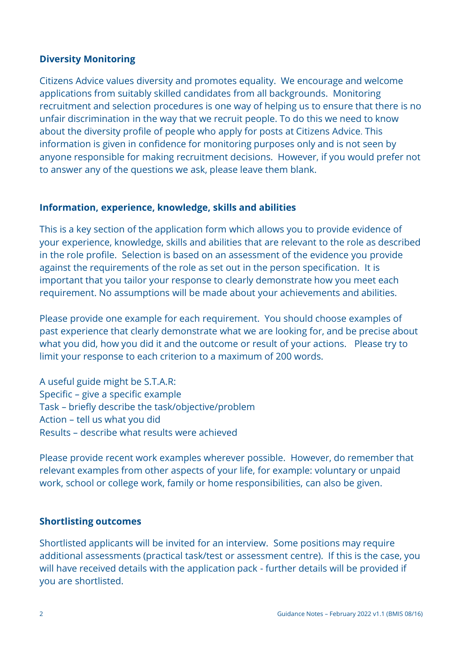## **Diversity Monitoring**

Citizens Advice values diversity and promotes equality. We encourage and welcome applications from suitably skilled candidates from all backgrounds. Monitoring recruitment and selection procedures is one way of helping us to ensure that there is no unfair discrimination in the way that we recruit people. To do this we need to know about the diversity profile of people who apply for posts at Citizens Advice. This information is given in confidence for monitoring purposes only and is not seen by anyone responsible for making recruitment decisions. However, if you would prefer not to answer any of the questions we ask, please leave them blank.

#### **Information, experience, knowledge, skills and abilities**

This is a key section of the application form which allows you to provide evidence of your experience, knowledge, skills and abilities that are relevant to the role as described in the role profile. Selection is based on an assessment of the evidence you provide against the requirements of the role as set out in the person specification. It is important that you tailor your response to clearly demonstrate how you meet each requirement. No assumptions will be made about your achievements and abilities.

Please provide one example for each requirement. You should choose examples of past experience that clearly demonstrate what we are looking for, and be precise about what you did, how you did it and the outcome or result of your actions. Please try to limit your response to each criterion to a maximum of 200 words.

A useful guide might be S.T.A.R: Specific – give a specific example Task – briefly describe the task/objective/problem Action – tell us what you did Results – describe what results were achieved

Please provide recent work examples wherever possible. However, do remember that relevant examples from other aspects of your life, for example: voluntary or unpaid work, school or college work, family or home responsibilities, can also be given.

## **Shortlisting outcomes**

Shortlisted applicants will be invited for an interview. Some positions may require additional assessments (practical task/test or assessment centre). If this is the case, you will have received details with the application pack - further details will be provided if you are shortlisted.